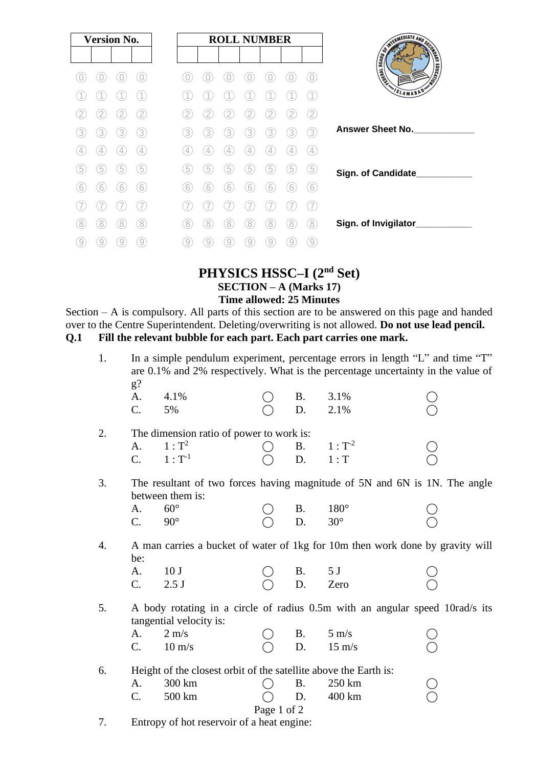| <b>Version No.</b> |   |   | <b>ROLL NUMBER</b> |   |   |   |   |   |    |                   |                                                                                                                 |  |
|--------------------|---|---|--------------------|---|---|---|---|---|----|-------------------|-----------------------------------------------------------------------------------------------------------------|--|
|                    |   |   |                    |   |   |   |   |   |    |                   | SERIES AND SCRIPTION OF SCRIPTION OF SCRIPTION OF SCRIPTION OF SCRIPTION OF SCRIPTION OF SCRIPTION OF SCRIPTION |  |
|                    |   |   |                    |   |   |   |   |   |    |                   | <b>MONTAINS</b><br><b>LEASE</b>                                                                                 |  |
|                    |   |   |                    |   |   |   |   |   |    |                   | VSLAMABAD                                                                                                       |  |
|                    |   |   | 2                  |   | 2 |   |   |   |    | 2                 |                                                                                                                 |  |
| 3                  | 3 | 3 | 3)                 | 3 | 3 | 3 | 3 | 3 | 3  | 3                 | <b>Answer Sheet No.</b>                                                                                         |  |
|                    |   | 4 | $\overline{4}$     | 4 |   |   |   | 4 |    | $\left( 4\right)$ |                                                                                                                 |  |
| 5                  | 5 | 5 | 5                  | 5 | 5 | 5 | 5 | 5 | 5  | 5                 | Sign. of Candidate_                                                                                             |  |
| 6                  | 6 | 6 | 6                  | 6 | 6 | 6 | b | b |    | 6                 |                                                                                                                 |  |
|                    |   |   |                    |   |   |   |   |   |    |                   |                                                                                                                 |  |
| 8                  | 8 | 8 | 8                  | 8 | 8 | 8 | 8 | 8 | `8 | 8                 | Sign. of Invigilator_                                                                                           |  |
| 9                  | 9 |   | 9                  | 9 | 9 | 9 |   | 9 | 9  | $\overline{9}$    |                                                                                                                 |  |

## **PHYSICS HSSC–I (2nd Set) SECTION – A (Marks 17) Time allowed: 25 Minutes**

Section – A is compulsory. All parts of this section are to be answered on this page and handed over to the Centre Superintendent. Deleting/overwriting is not allowed. **Do not use lead pencil. Q.1 Fill the relevant bubble for each part. Each part carries one mark.** 

| 1. | In a simple pendulum experiment, percentage errors in length "L" and time "T"<br>are 0.1% and 2% respectively. What is the percentage uncertainty in the value of<br>$g$ ? |                                                                                                         |  |           |                  |  |  |  |  |  |
|----|----------------------------------------------------------------------------------------------------------------------------------------------------------------------------|---------------------------------------------------------------------------------------------------------|--|-----------|------------------|--|--|--|--|--|
|    | A.<br>C.                                                                                                                                                                   | 4.1%<br>5%                                                                                              |  | Β.<br>D.  | 3.1%<br>2.1%     |  |  |  |  |  |
| 2. | The dimension ratio of power to work is:                                                                                                                                   |                                                                                                         |  |           |                  |  |  |  |  |  |
|    | A.                                                                                                                                                                         | $1: T^2$                                                                                                |  | <b>B.</b> | $1: T^{-2}$      |  |  |  |  |  |
|    | C.                                                                                                                                                                         | $1: T^{-1}$                                                                                             |  | D.        | $1:$ T           |  |  |  |  |  |
| 3. |                                                                                                                                                                            | The resultant of two forces having magnitude of 5N and 6N is 1N. The angle<br>between them is:          |  |           |                  |  |  |  |  |  |
|    | A.                                                                                                                                                                         | $60^\circ$                                                                                              |  | Β.        | $180^\circ$      |  |  |  |  |  |
|    | C.                                                                                                                                                                         | $90^\circ$                                                                                              |  | D.        | $30^\circ$       |  |  |  |  |  |
| 4. | be:                                                                                                                                                                        | A man carries a bucket of water of 1kg for 10m then work done by gravity will                           |  |           |                  |  |  |  |  |  |
|    | A.                                                                                                                                                                         | 10 <sub>J</sub>                                                                                         |  | <b>B.</b> | 5J               |  |  |  |  |  |
|    | $\mathcal{C}$ .                                                                                                                                                            | 2.5J                                                                                                    |  | D.        | Zero             |  |  |  |  |  |
| 5. |                                                                                                                                                                            | A body rotating in a circle of radius 0.5m with an angular speed 10rad/s its<br>tangential velocity is: |  |           |                  |  |  |  |  |  |
|    | A.                                                                                                                                                                         | $2 \text{ m/s}$                                                                                         |  | <b>B.</b> | $5 \text{ m/s}$  |  |  |  |  |  |
|    | $\mathcal{C}$ .                                                                                                                                                            | $10 \text{ m/s}$                                                                                        |  | D.        | $15 \text{ m/s}$ |  |  |  |  |  |
| 6. |                                                                                                                                                                            | Height of the closest orbit of the satellite above the Earth is:                                        |  |           |                  |  |  |  |  |  |
|    | A.                                                                                                                                                                         | 300 km                                                                                                  |  | <b>B.</b> | 250 km           |  |  |  |  |  |
|    | C.                                                                                                                                                                         | 500 km                                                                                                  |  | D.        | 400 km           |  |  |  |  |  |
|    | Page 1 of 2                                                                                                                                                                |                                                                                                         |  |           |                  |  |  |  |  |  |

7. Entropy of hot reservoir of a heat engine: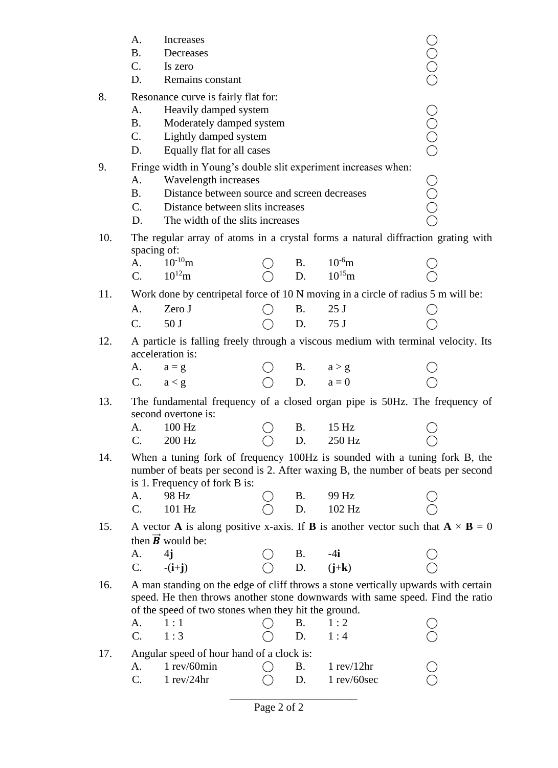|     | A.                                                                                            | Increases                                                                                                                                                                                      |               |           |                                              |      |  |  |  |  |
|-----|-----------------------------------------------------------------------------------------------|------------------------------------------------------------------------------------------------------------------------------------------------------------------------------------------------|---------------|-----------|----------------------------------------------|------|--|--|--|--|
|     | <b>B.</b>                                                                                     | Decreases                                                                                                                                                                                      |               |           |                                              |      |  |  |  |  |
|     | C.                                                                                            | Is zero                                                                                                                                                                                        |               |           |                                              |      |  |  |  |  |
|     | D.                                                                                            | Remains constant                                                                                                                                                                               |               |           |                                              |      |  |  |  |  |
| 8.  | Resonance curve is fairly flat for:<br>Heavily damped system                                  |                                                                                                                                                                                                |               |           |                                              |      |  |  |  |  |
|     | A.                                                                                            |                                                                                                                                                                                                |               |           |                                              |      |  |  |  |  |
|     | <b>B.</b>                                                                                     | Moderately damped system                                                                                                                                                                       |               |           |                                              |      |  |  |  |  |
|     | C.                                                                                            | Lightly damped system                                                                                                                                                                          |               |           |                                              | OOOO |  |  |  |  |
|     | D.                                                                                            | Equally flat for all cases                                                                                                                                                                     |               |           |                                              |      |  |  |  |  |
| 9.  | Fringe width in Young's double slit experiment increases when:                                |                                                                                                                                                                                                |               |           |                                              |      |  |  |  |  |
|     | Wavelength increases<br>A.                                                                    |                                                                                                                                                                                                |               |           |                                              |      |  |  |  |  |
|     | Distance between source and screen decreases<br><b>B.</b><br>Distance between slits increases |                                                                                                                                                                                                |               |           |                                              |      |  |  |  |  |
|     | $C_{\cdot}$<br>D.                                                                             |                                                                                                                                                                                                |               |           |                                              |      |  |  |  |  |
|     |                                                                                               | The width of the slits increases                                                                                                                                                               |               |           |                                              |      |  |  |  |  |
| 10. |                                                                                               | The regular array of atoms in a crystal forms a natural diffraction grating with<br>spacing of:                                                                                                |               |           |                                              |      |  |  |  |  |
|     | A.                                                                                            | $10^{-10}$ m                                                                                                                                                                                   |               | <b>B.</b> | $10^{-6}$ m                                  |      |  |  |  |  |
|     | C.                                                                                            | $10^{12}$ m                                                                                                                                                                                    |               | D.        | $10^{15}$ m                                  |      |  |  |  |  |
| 11. |                                                                                               | Work done by centripetal force of 10 N moving in a circle of radius 5 m will be:                                                                                                               |               |           |                                              |      |  |  |  |  |
|     | A.                                                                                            | Zero J                                                                                                                                                                                         |               | <b>B.</b> | 25 <sub>J</sub>                              |      |  |  |  |  |
|     | C.                                                                                            | 50 J                                                                                                                                                                                           |               | D.        | 75 J                                         |      |  |  |  |  |
| 12. |                                                                                               | A particle is falling freely through a viscous medium with terminal velocity. Its<br>acceleration is:                                                                                          |               |           |                                              |      |  |  |  |  |
|     | A.                                                                                            | $a = g$                                                                                                                                                                                        |               | <b>B.</b> | a > g                                        |      |  |  |  |  |
|     | $\mathbf{C}$ .                                                                                | a < g                                                                                                                                                                                          |               | D.        | $a = 0$                                      |      |  |  |  |  |
| 13. |                                                                                               | The fundamental frequency of a closed organ pipe is 50Hz. The frequency of<br>second overtone is:                                                                                              |               |           |                                              |      |  |  |  |  |
|     | A.                                                                                            | 100 Hz                                                                                                                                                                                         |               | <b>B.</b> | 15 Hz                                        |      |  |  |  |  |
|     | C.                                                                                            | 200 Hz                                                                                                                                                                                         | $\bigcirc$ D. |           | 250 Hz                                       |      |  |  |  |  |
| 14. |                                                                                               | When a tuning fork of frequency 100Hz is sounded with a tuning fork B, the<br>number of beats per second is 2. After waxing B, the number of beats per second<br>is 1. Frequency of fork B is: |               |           |                                              |      |  |  |  |  |
|     | A.                                                                                            | 98 Hz                                                                                                                                                                                          |               | <b>B.</b> | 99 Hz                                        |      |  |  |  |  |
|     | C.                                                                                            | 101 Hz                                                                                                                                                                                         |               | D.        | 102 Hz                                       |      |  |  |  |  |
| 15. |                                                                                               | A vector <b>A</b> is along positive x-axis. If <b>B</b> is another vector such that $\mathbf{A} \times \mathbf{B} = 0$                                                                         |               |           |                                              |      |  |  |  |  |
|     |                                                                                               | then $\vec{B}$ would be:                                                                                                                                                                       |               |           |                                              |      |  |  |  |  |
|     | A.                                                                                            | 4j                                                                                                                                                                                             |               |           | B. -4 <b>i</b><br>D. ( <b>j</b> + <b>k</b> ) |      |  |  |  |  |
|     | $\mathcal{C}$ .                                                                               | $-(i+j)$                                                                                                                                                                                       |               |           |                                              |      |  |  |  |  |
| 16. |                                                                                               | A man standing on the edge of cliff throws a stone vertically upwards with certain                                                                                                             |               |           |                                              |      |  |  |  |  |
|     |                                                                                               | speed. He then throws another stone downwards with same speed. Find the ratio<br>of the speed of two stones when they hit the ground.                                                          |               |           |                                              |      |  |  |  |  |
|     | А.                                                                                            | 1:1                                                                                                                                                                                            |               | Β.        | 1:2                                          |      |  |  |  |  |
|     | C.                                                                                            | 1:3                                                                                                                                                                                            |               | D.        | 1:4                                          |      |  |  |  |  |
| 17. |                                                                                               | Angular speed of hour hand of a clock is:                                                                                                                                                      |               |           |                                              |      |  |  |  |  |
|     | A.                                                                                            | 1 rev/60min                                                                                                                                                                                    |               | <b>B.</b> | $1$ rev/ $12$ hr                             |      |  |  |  |  |
|     | $\mathcal{C}$ .                                                                               | $1$ rev/24hr                                                                                                                                                                                   |               | D.        | $1$ rev/ $60$ sec                            |      |  |  |  |  |
|     |                                                                                               |                                                                                                                                                                                                |               |           |                                              |      |  |  |  |  |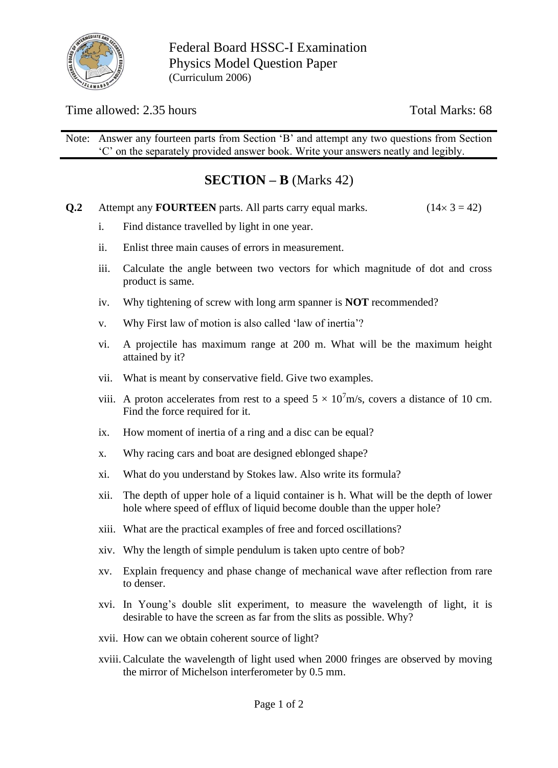

Federal Board HSSC-I Examination Physics Model Question Paper (Curriculum 2006)

Time allowed: 2.35 hours Total Marks: 68

Note: Answer any fourteen parts from Section 'B' and attempt any two questions from Section 'C' on the separately provided answer book. Write your answers neatly and legibly.

# **SECTION – B** (Marks 42)

- **Q.2** Attempt any **FOURTEEN** parts. All parts carry equal marks.  $(14 \times 3 = 42)$ 
	- i. Find distance travelled by light in one year.
	- ii. Enlist three main causes of errors in measurement.
	- iii. Calculate the angle between two vectors for which magnitude of dot and cross product is same.
	- iv. Why tightening of screw with long arm spanner is **NOT** recommended?
	- v. Why First law of motion is also called 'law of inertia'?
	- vi. A projectile has maximum range at 200 m. What will be the maximum height attained by it?
	- vii. What is meant by conservative field. Give two examples.
	- viii. A proton accelerates from rest to a speed  $5 \times 10^7$ m/s, covers a distance of 10 cm. Find the force required for it.
	- ix. How moment of inertia of a ring and a disc can be equal?
	- x. Why racing cars and boat are designed eblonged shape?
	- xi. What do you understand by Stokes law. Also write its formula?
	- xii. The depth of upper hole of a liquid container is h. What will be the depth of lower hole where speed of efflux of liquid become double than the upper hole?
	- xiii. What are the practical examples of free and forced oscillations?
	- xiv. Why the length of simple pendulum is taken upto centre of bob?
	- xv. Explain frequency and phase change of mechanical wave after reflection from rare to denser.
	- xvi. In Young's double slit experiment, to measure the wavelength of light, it is desirable to have the screen as far from the slits as possible. Why?
	- xvii. How can we obtain coherent source of light?
	- xviii.Calculate the wavelength of light used when 2000 fringes are observed by moving the mirror of Michelson interferometer by 0.5 mm.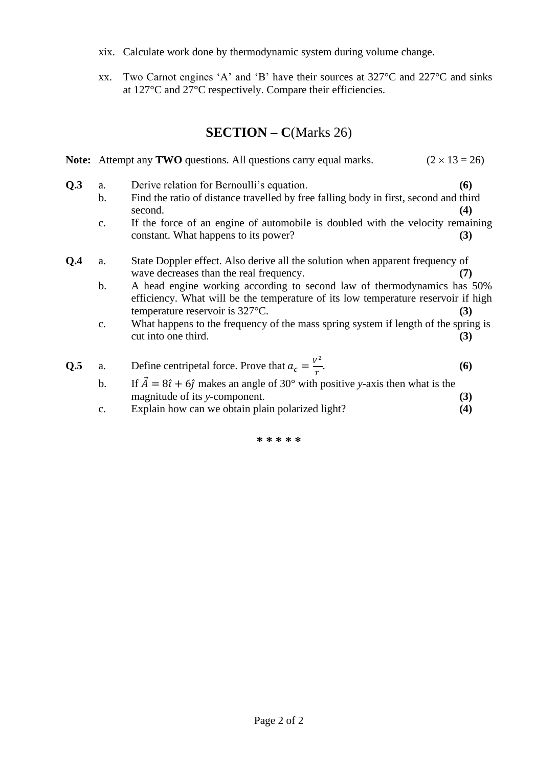- xix. Calculate work done by thermodynamic system during volume change.
- xx. Two Carnot engines 'A' and 'B' have their sources at 327°C and 227°C and sinks at 127°C and 27°C respectively. Compare their efficiencies.

# **SECTION – C**(Marks 26)

|     |                     | $(2 \times 13 = 26)$<br>Note: Attempt any TWO questions. All questions carry equal marks.                                                                                                                 |     |
|-----|---------------------|-----------------------------------------------------------------------------------------------------------------------------------------------------------------------------------------------------------|-----|
| Q.3 | a.<br>$\mathbf b$ . | Derive relation for Bernoulli's equation.<br>Find the ratio of distance travelled by free falling body in first, second and third                                                                         | (6) |
|     |                     | second.                                                                                                                                                                                                   | (4) |
|     | c.                  | If the force of an engine of automobile is doubled with the velocity remaining<br>constant. What happens to its power?                                                                                    | (3) |
| Q.4 | a.                  | State Doppler effect. Also derive all the solution when apparent frequency of<br>wave decreases than the real frequency.                                                                                  | (7) |
|     | $\mathbf b$ .       | A head engine working according to second law of thermodynamics has 50%<br>efficiency. What will be the temperature of its low temperature reservoir if high<br>temperature reservoir is $327^{\circ}$ C. | (3) |
|     | $\mathbf{c}$ .      | What happens to the frequency of the mass spring system if length of the spring is<br>cut into one third.                                                                                                 | (3) |
| Q.5 | a.                  | Define centripetal force. Prove that $a_c = \frac{V^2}{r}$ .                                                                                                                                              | (6) |
|     | b.                  | If $\vec{A} = 8\hat{i} + 6\hat{j}$ makes an angle of 30° with positive y-axis then what is the                                                                                                            |     |
|     |                     | magnitude of its y-component.                                                                                                                                                                             | (3) |
|     | c.                  | Explain how can we obtain plain polarized light?                                                                                                                                                          | (4) |

**\* \* \* \* \***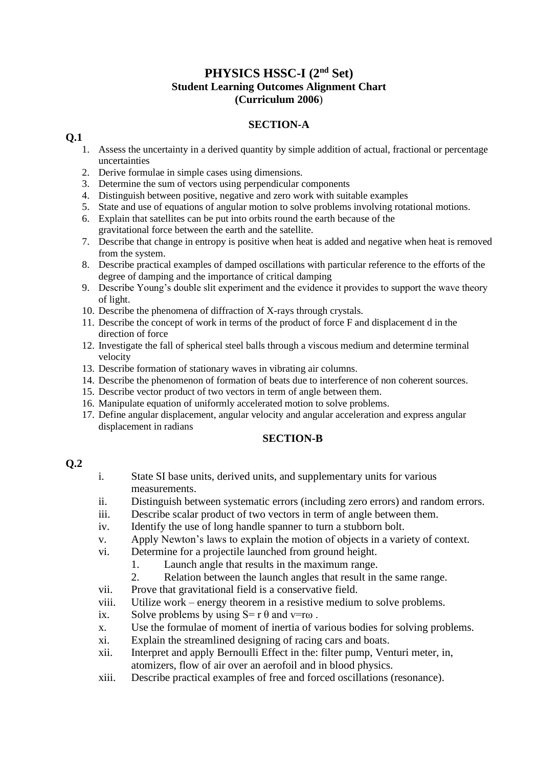## **PHYSICS HSSC-I (2nd Set) Student Learning Outcomes Alignment Chart (Curriculum 2006**)

## **SECTION-A**

### **Q.1**

- 1. Assess the uncertainty in a derived quantity by simple addition of actual, fractional or percentage uncertainties
- 2. Derive formulae in simple cases using dimensions.
- 3. Determine the sum of vectors using perpendicular components
- 4. Distinguish between positive, negative and zero work with suitable examples
- 5. State and use of equations of angular motion to solve problems involving rotational motions.
- 6. Explain that satellites can be put into orbits round the earth because of the gravitational force between the earth and the satellite.
- 7. Describe that change in entropy is positive when heat is added and negative when heat is removed from the system.
- 8. Describe practical examples of damped oscillations with particular reference to the efforts of the degree of damping and the importance of critical damping
- 9. Describe Young's double slit experiment and the evidence it provides to support the wave theory of light.
- 10. Describe the phenomena of diffraction of X-rays through crystals.
- 11. Describe the concept of work in terms of the product of force F and displacement d in the direction of force
- 12. Investigate the fall of spherical steel balls through a viscous medium and determine terminal velocity
- 13. Describe formation of stationary waves in vibrating air columns.
- 14. Describe the phenomenon of formation of beats due to interference of non coherent sources.
- 15. Describe vector product of two vectors in term of angle between them.
- 16. Manipulate equation of uniformly accelerated motion to solve problems.
- 17. Define angular displacement, angular velocity and angular acceleration and express angular displacement in radians

#### **SECTION-B**

### **Q.2**

- i. State SI base units, derived units, and supplementary units for various measurements.
- ii. Distinguish between systematic errors (including zero errors) and random errors.
- iii. Describe scalar product of two vectors in term of angle between them.
- iv. Identify the use of long handle spanner to turn a stubborn bolt.
- v. Apply Newton's laws to explain the motion of objects in a variety of context.
- vi. Determine for a projectile launched from ground height.
	- 1. Launch angle that results in the maximum range.
	- 2. Relation between the launch angles that result in the same range.
- vii. Prove that gravitational field is a conservative field.
- viii. Utilize work energy theorem in a resistive medium to solve problems.
- ix. Solve problems by using  $S = r \theta$  and  $v = r\omega$ .
- x. Use the formulae of moment of inertia of various bodies for solving problems.
- xi. Explain the streamlined designing of racing cars and boats.
- xii. Interpret and apply Bernoulli Effect in the: filter pump, Venturi meter, in, atomizers, flow of air over an aerofoil and in blood physics.
- xiii. Describe practical examples of free and forced oscillations (resonance).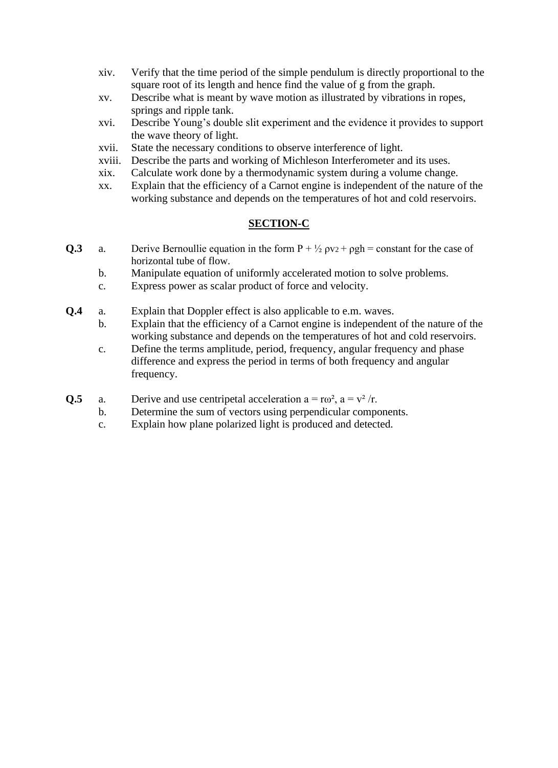- xiv. Verify that the time period of the simple pendulum is directly proportional to the square root of its length and hence find the value of g from the graph.
- xv. Describe what is meant by wave motion as illustrated by vibrations in ropes, springs and ripple tank.
- xvi. Describe Young's double slit experiment and the evidence it provides to support the wave theory of light.
- xvii. State the necessary conditions to observe interference of light.
- xviii. Describe the parts and working of Michleson Interferometer and its uses.
- xix. Calculate work done by a thermodynamic system during a volume change.
- xx. Explain that the efficiency of a Carnot engine is independent of the nature of the working substance and depends on the temperatures of hot and cold reservoirs.

## **SECTION-C**

- **Q.3** a. Derive Bernoullie equation in the form  $P + \frac{1}{2} \rho v_2 + \rho g h = constant$  for the case of horizontal tube of flow.
	- b. Manipulate equation of uniformly accelerated motion to solve problems.
	- c. Express power as scalar product of force and velocity.
- **Q.4** a. Explain that Doppler effect is also applicable to e.m. waves.
	- b. Explain that the efficiency of a Carnot engine is independent of the nature of the working substance and depends on the temperatures of hot and cold reservoirs.
	- c. Define the terms amplitude, period, frequency, angular frequency and phase difference and express the period in terms of both frequency and angular frequency.
- **Q.5** a. Derive and use centripetal acceleration  $a = r\omega^2$ ,  $a = v^2/r$ .
	- b. Determine the sum of vectors using perpendicular components.
		- c. Explain how plane polarized light is produced and detected.